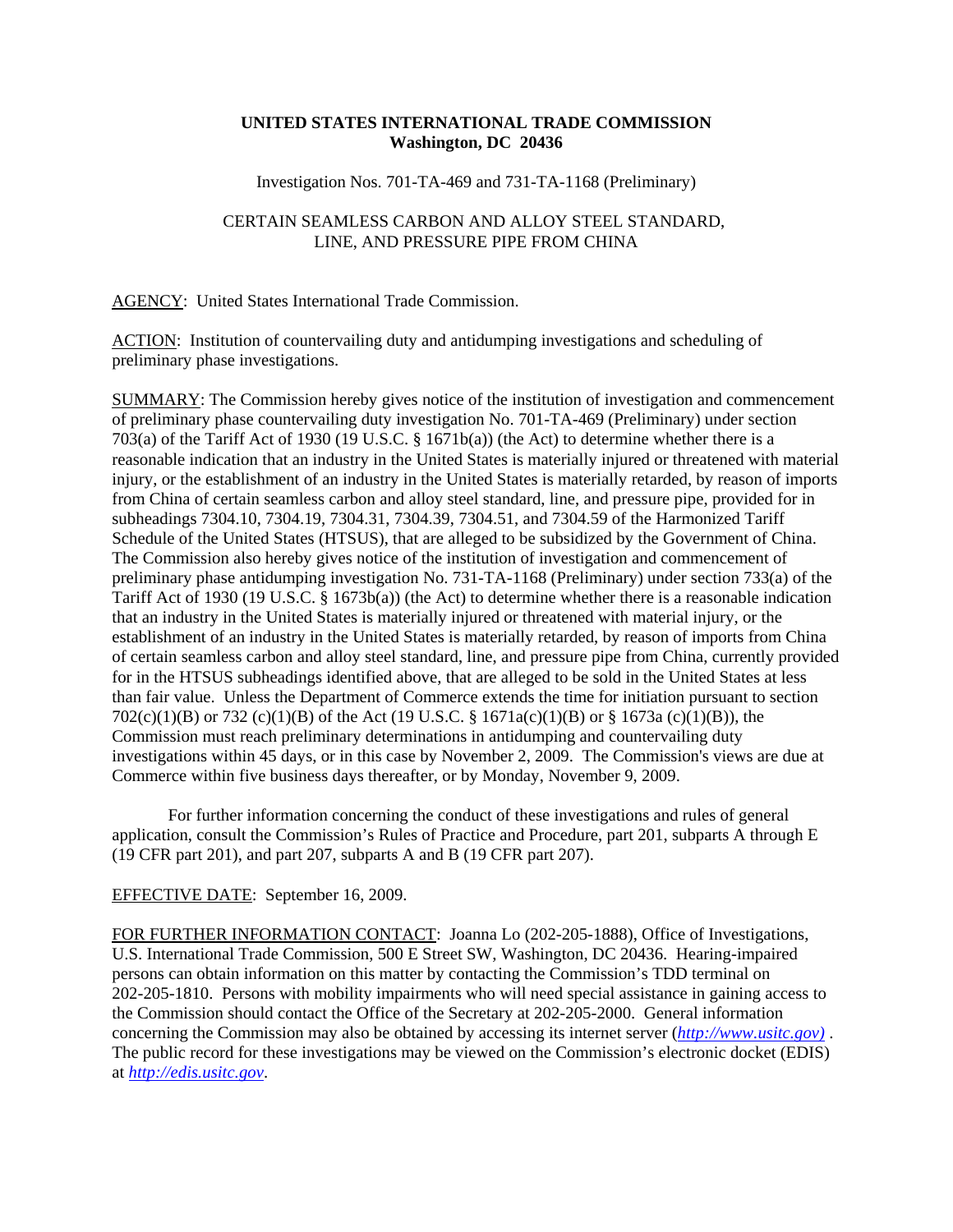## **UNITED STATES INTERNATIONAL TRADE COMMISSION Washington, DC 20436**

Investigation Nos. 701-TA-469 and 731-TA-1168 (Preliminary)

## CERTAIN SEAMLESS CARBON AND ALLOY STEEL STANDARD, LINE, AND PRESSURE PIPE FROM CHINA

AGENCY: United States International Trade Commission.

ACTION: Institution of countervailing duty and antidumping investigations and scheduling of preliminary phase investigations.

SUMMARY: The Commission hereby gives notice of the institution of investigation and commencement of preliminary phase countervailing duty investigation No. 701-TA-469 (Preliminary) under section 703(a) of the Tariff Act of 1930 (19 U.S.C. § 1671b(a)) (the Act) to determine whether there is a reasonable indication that an industry in the United States is materially injured or threatened with material injury, or the establishment of an industry in the United States is materially retarded, by reason of imports from China of certain seamless carbon and alloy steel standard, line, and pressure pipe, provided for in subheadings 7304.10, 7304.19, 7304.31, 7304.39, 7304.51, and 7304.59 of the Harmonized Tariff Schedule of the United States (HTSUS), that are alleged to be subsidized by the Government of China. The Commission also hereby gives notice of the institution of investigation and commencement of preliminary phase antidumping investigation No. 731-TA-1168 (Preliminary) under section 733(a) of the Tariff Act of 1930 (19 U.S.C. § 1673b(a)) (the Act) to determine whether there is a reasonable indication that an industry in the United States is materially injured or threatened with material injury, or the establishment of an industry in the United States is materially retarded, by reason of imports from China of certain seamless carbon and alloy steel standard, line, and pressure pipe from China, currently provided for in the HTSUS subheadings identified above, that are alleged to be sold in the United States at less than fair value. Unless the Department of Commerce extends the time for initiation pursuant to section 702(c)(1)(B) or 732 (c)(1)(B) of the Act (19 U.S.C. § 1671a(c)(1)(B) or § 1673a (c)(1)(B)), the Commission must reach preliminary determinations in antidumping and countervailing duty investigations within 45 days, or in this case by November 2, 2009. The Commission's views are due at Commerce within five business days thereafter, or by Monday, November 9, 2009.

For further information concerning the conduct of these investigations and rules of general application, consult the Commission's Rules of Practice and Procedure, part 201, subparts A through E (19 CFR part 201), and part 207, subparts A and B (19 CFR part 207).

## EFFECTIVE DATE: September 16, 2009.

FOR FURTHER INFORMATION CONTACT: Joanna Lo (202-205-1888), Office of Investigations, U.S. International Trade Commission, 500 E Street SW, Washington, DC 20436. Hearing-impaired persons can obtain information on this matter by contacting the Commission's TDD terminal on 202-205-1810. Persons with mobility impairments who will need special assistance in gaining access to the Commission should contact the Office of the Secretary at 202-205-2000. General information concerning the Commission may also be obtained by accessing its internet server (*http://www.usitc.gov)* . The public record for these investigations may be viewed on the Commission's electronic docket (EDIS) at *http://edis.usitc.gov*.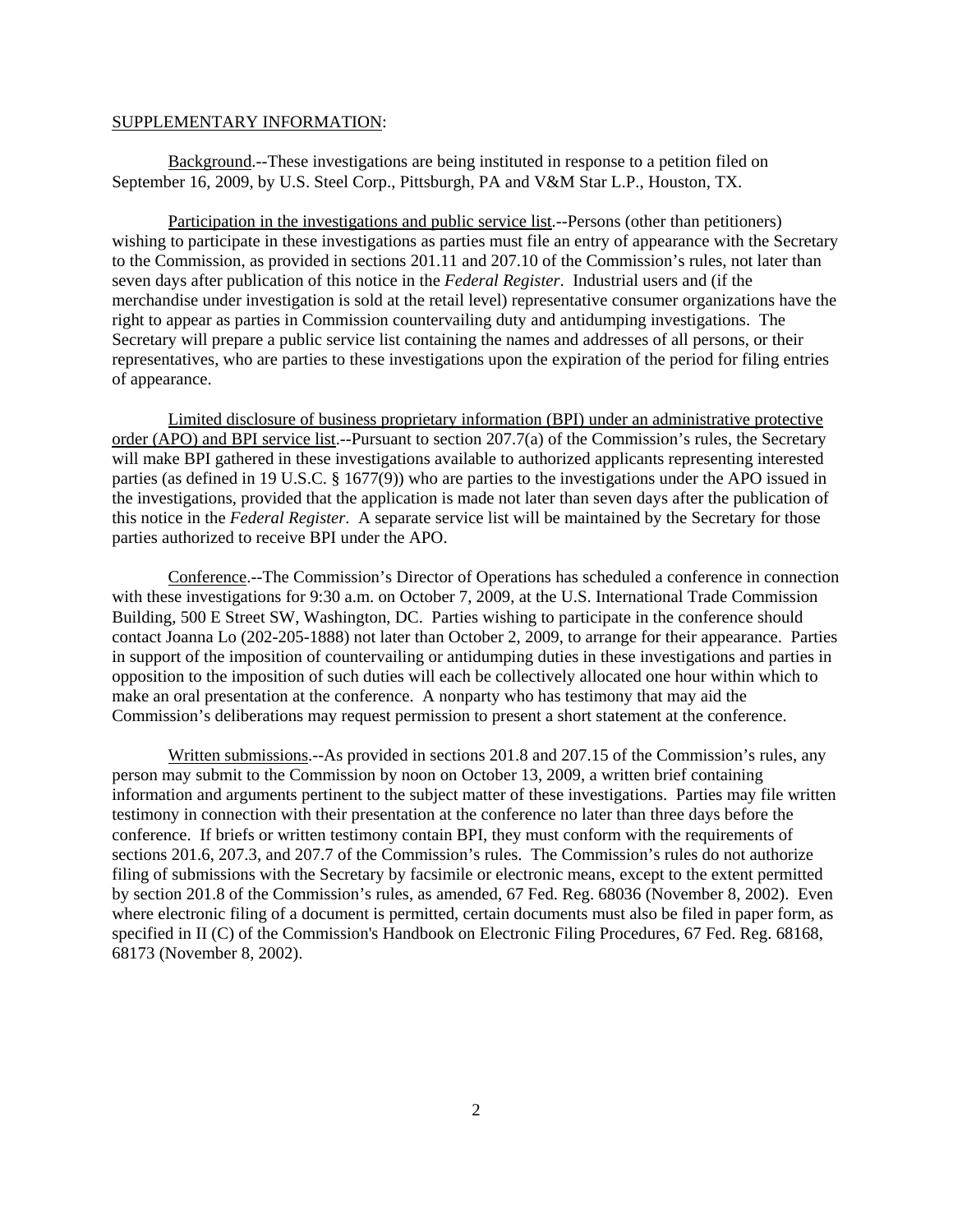## SUPPLEMENTARY INFORMATION:

Background.--These investigations are being instituted in response to a petition filed on September 16, 2009, by U.S. Steel Corp., Pittsburgh, PA and V&M Star L.P., Houston, TX.

Participation in the investigations and public service list.--Persons (other than petitioners) wishing to participate in these investigations as parties must file an entry of appearance with the Secretary to the Commission, as provided in sections 201.11 and 207.10 of the Commission's rules, not later than seven days after publication of this notice in the *Federal Register*. Industrial users and (if the merchandise under investigation is sold at the retail level) representative consumer organizations have the right to appear as parties in Commission countervailing duty and antidumping investigations. The Secretary will prepare a public service list containing the names and addresses of all persons, or their representatives, who are parties to these investigations upon the expiration of the period for filing entries of appearance.

Limited disclosure of business proprietary information (BPI) under an administrative protective order (APO) and BPI service list.--Pursuant to section 207.7(a) of the Commission's rules, the Secretary will make BPI gathered in these investigations available to authorized applicants representing interested parties (as defined in 19 U.S.C. § 1677(9)) who are parties to the investigations under the APO issued in the investigations, provided that the application is made not later than seven days after the publication of this notice in the *Federal Register*. A separate service list will be maintained by the Secretary for those parties authorized to receive BPI under the APO.

Conference.--The Commission's Director of Operations has scheduled a conference in connection with these investigations for 9:30 a.m. on October 7, 2009, at the U.S. International Trade Commission Building, 500 E Street SW, Washington, DC. Parties wishing to participate in the conference should contact Joanna Lo (202-205-1888) not later than October 2, 2009, to arrange for their appearance. Parties in support of the imposition of countervailing or antidumping duties in these investigations and parties in opposition to the imposition of such duties will each be collectively allocated one hour within which to make an oral presentation at the conference. A nonparty who has testimony that may aid the Commission's deliberations may request permission to present a short statement at the conference.

Written submissions.--As provided in sections 201.8 and 207.15 of the Commission's rules, any person may submit to the Commission by noon on October 13, 2009, a written brief containing information and arguments pertinent to the subject matter of these investigations. Parties may file written testimony in connection with their presentation at the conference no later than three days before the conference. If briefs or written testimony contain BPI, they must conform with the requirements of sections 201.6, 207.3, and 207.7 of the Commission's rules. The Commission's rules do not authorize filing of submissions with the Secretary by facsimile or electronic means, except to the extent permitted by section 201.8 of the Commission's rules, as amended, 67 Fed. Reg. 68036 (November 8, 2002). Even where electronic filing of a document is permitted, certain documents must also be filed in paper form, as specified in II (C) of the Commission's Handbook on Electronic Filing Procedures, 67 Fed. Reg. 68168, 68173 (November 8, 2002).